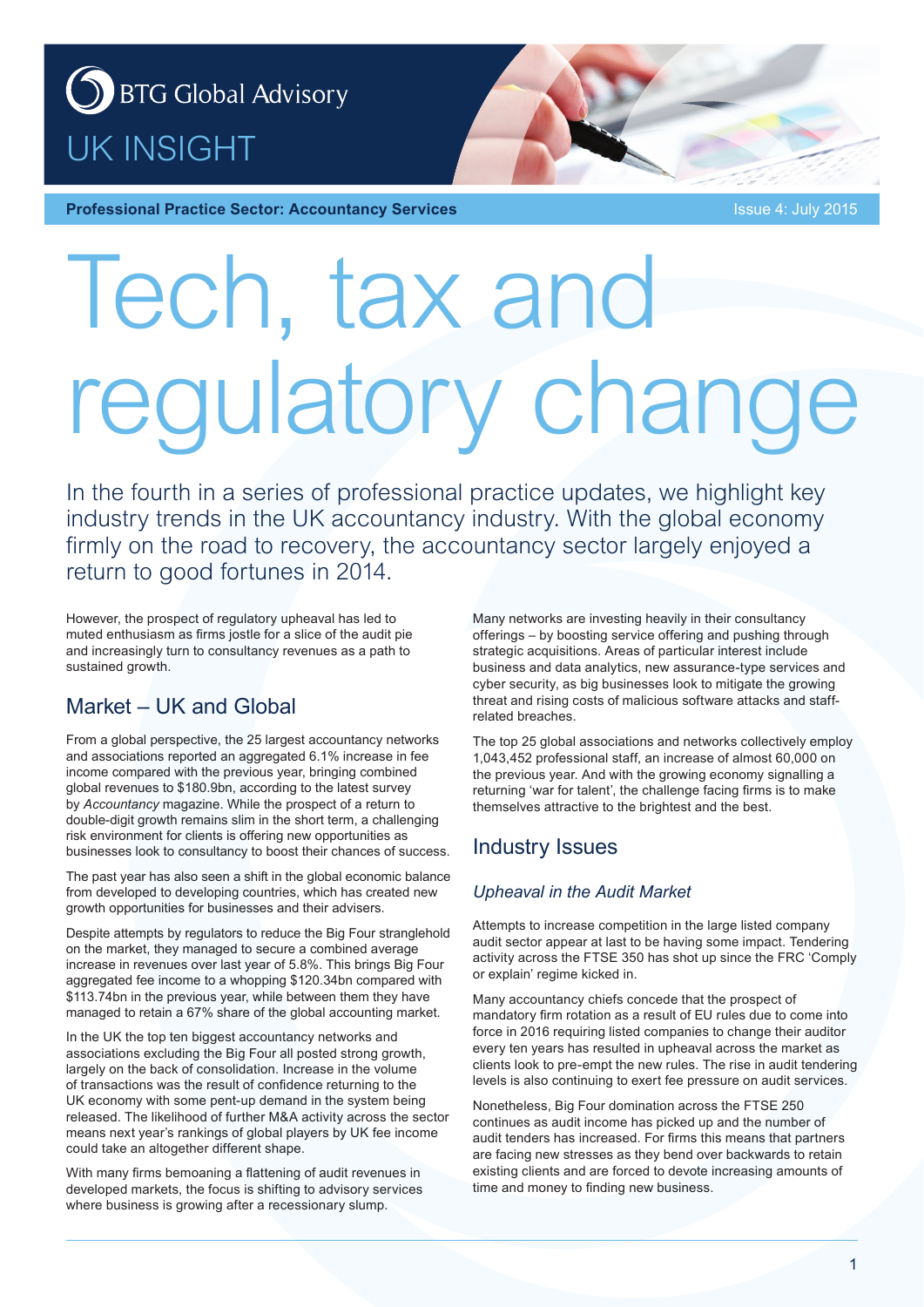# S BTG Global Advisory UK INSIGHT

**Professional Practice Sector: Accountancy Services and Community Control of the Issue 4: July 2015** 

# Tech, tax and regulatory change

In the fourth in a series of professional practice updates, we highlight key industry trends in the UK accountancy industry. With the global economy firmly on the road to recovery, the accountancy sector largely enjoyed a return to good fortunes in 2014.

However, the prospect of regulatory upheaval has led to muted enthusiasm as firms jostle for a slice of the audit pie and increasingly turn to consultancy revenues as a path to sustained growth.

### Market – UK and Global

From a global perspective, the 25 largest accountancy networks and associations reported an aggregated 6.1% increase in fee income compared with the previous year, bringing combined global revenues to \$180.9bn, according to the latest survey by *Accountancy* magazine. While the prospect of a return to double-digit growth remains slim in the short term, a challenging risk environment for clients is offering new opportunities as businesses look to consultancy to boost their chances of success.

The past year has also seen a shift in the global economic balance from developed to developing countries, which has created new growth opportunities for businesses and their advisers.

Despite attempts by regulators to reduce the Big Four stranglehold on the market, they managed to secure a combined average increase in revenues over last year of 5.8%. This brings Big Four aggregated fee income to a whopping \$120.34bn compared with \$113.74bn in the previous year, while between them they have managed to retain a 67% share of the global accounting market.

In the UK the top ten biggest accountancy networks and associations excluding the Big Four all posted strong growth, largely on the back of consolidation. Increase in the volume of transactions was the result of confidence returning to the UK economy with some pent-up demand in the system being released. The likelihood of further M&A activity across the sector means next year's rankings of global players by UK fee income could take an altogether different shape.

With many firms bemoaning a flattening of audit revenues in developed markets, the focus is shifting to advisory services where business is growing after a recessionary slump.

Many networks are investing heavily in their consultancy offerings – by boosting service offering and pushing through strategic acquisitions. Areas of particular interest include business and data analytics, new assurance-type services and cyber security, as big businesses look to mitigate the growing threat and rising costs of malicious software attacks and staffrelated breaches.

The top 25 global associations and networks collectively employ 1,043,452 professional staff, an increase of almost 60,000 on the previous year. And with the growing economy signalling a returning 'war for talent', the challenge facing firms is to make themselves attractive to the brightest and the best.

### Industry Issues

### *Upheaval in the Audit Market*

Attempts to increase competition in the large listed company audit sector appear at last to be having some impact. Tendering activity across the FTSE 350 has shot up since the FRC 'Comply or explain' regime kicked in.

Many accountancy chiefs concede that the prospect of mandatory firm rotation as a result of EU rules due to come into force in 2016 requiring listed companies to change their auditor every ten years has resulted in upheaval across the market as clients look to pre-empt the new rules. The rise in audit tendering levels is also continuing to exert fee pressure on audit services.

Nonetheless, Big Four domination across the FTSE 250 continues as audit income has picked up and the number of audit tenders has increased. For firms this means that partners are facing new stresses as they bend over backwards to retain existing clients and are forced to devote increasing amounts of time and money to finding new business.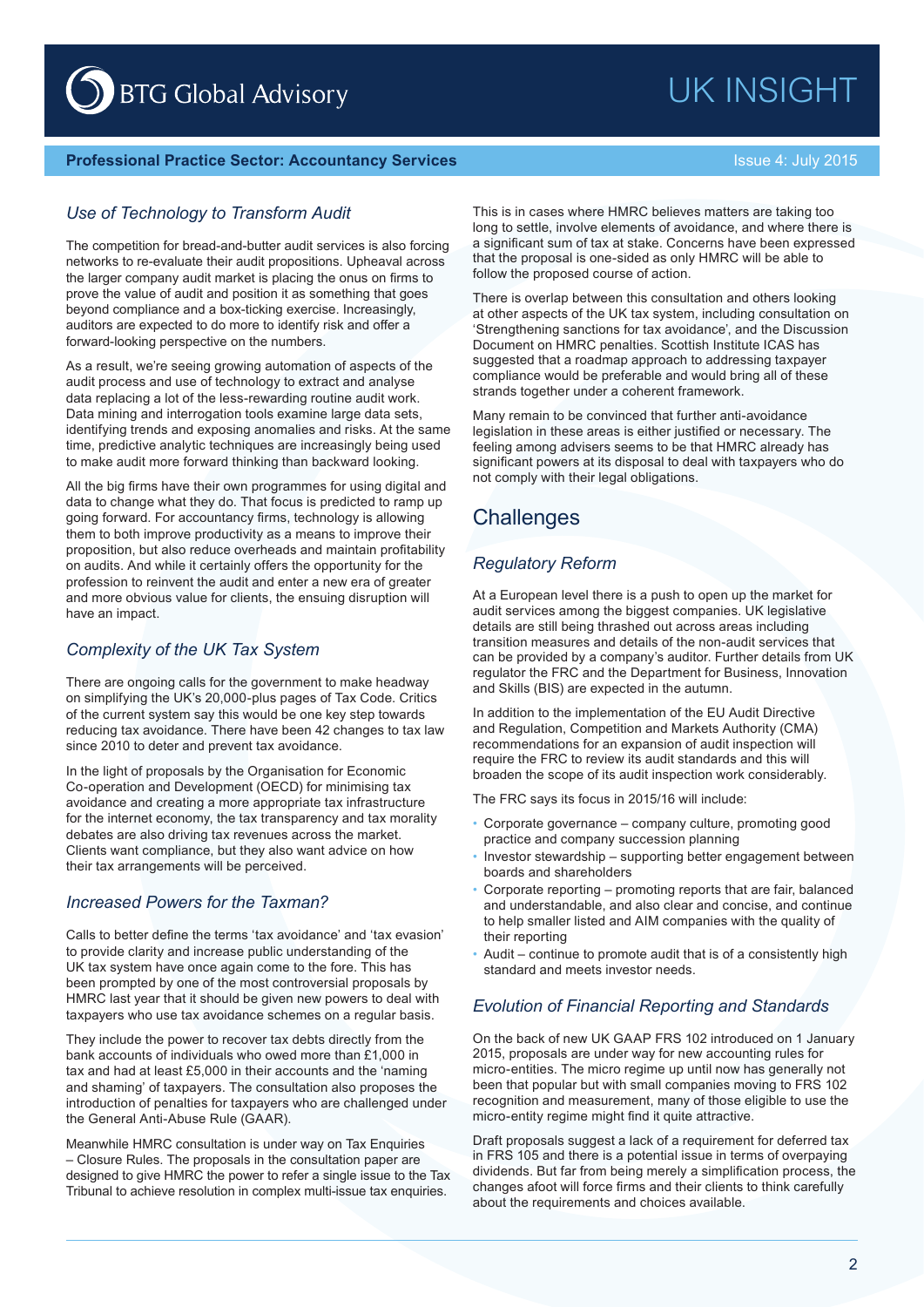## UK INSIGHT

# **BTG Global Advisory**

### **Professional Practice Sector: Accountancy Services and Community Control of Issue 4: July 2015**

### *Use of Technology to Transform Audit*

The competition for bread-and-butter audit services is also forcing networks to re-evaluate their audit propositions. Upheaval across the larger company audit market is placing the onus on firms to prove the value of audit and position it as something that goes beyond compliance and a box-ticking exercise. Increasingly, auditors are expected to do more to identify risk and offer a forward-looking perspective on the numbers.

As a result, we're seeing growing automation of aspects of the audit process and use of technology to extract and analyse data replacing a lot of the less-rewarding routine audit work. Data mining and interrogation tools examine large data sets, identifying trends and exposing anomalies and risks. At the same time, predictive analytic techniques are increasingly being used to make audit more forward thinking than backward looking.

All the big firms have their own programmes for using digital and data to change what they do. That focus is predicted to ramp up going forward. For accountancy firms, technology is allowing them to both improve productivity as a means to improve their proposition, but also reduce overheads and maintain profitability on audits. And while it certainly offers the opportunity for the profession to reinvent the audit and enter a new era of greater and more obvious value for clients, the ensuing disruption will have an impact.

### *Complexity of the UK Tax System*

There are ongoing calls for the government to make headway on simplifying the UK's 20,000-plus pages of Tax Code. Critics of the current system say this would be one key step towards reducing tax avoidance. There have been 42 changes to tax law since 2010 to deter and prevent tax avoidance.

In the light of proposals by the Organisation for Economic Co-operation and Development (OECD) for minimising tax avoidance and creating a more appropriate tax infrastructure for the internet economy, the tax transparency and tax morality debates are also driving tax revenues across the market. Clients want compliance, but they also want advice on how their tax arrangements will be perceived.

### *Increased Powers for the Taxman?*

Calls to better define the terms 'tax avoidance' and 'tax evasion' to provide clarity and increase public understanding of the UK tax system have once again come to the fore. This has been prompted by one of the most controversial proposals by HMRC last year that it should be given new powers to deal with taxpayers who use tax avoidance schemes on a regular basis.

They include the power to recover tax debts directly from the bank accounts of individuals who owed more than £1,000 in tax and had at least £5,000 in their accounts and the 'naming and shaming' of taxpayers. The consultation also proposes the introduction of penalties for taxpayers who are challenged under the General Anti-Abuse Rule (GAAR).

Meanwhile HMRC consultation is under way on Tax Enquiries – Closure Rules. The proposals in the consultation paper are designed to give HMRC the power to refer a single issue to the Tax Tribunal to achieve resolution in complex multi-issue tax enquiries.

This is in cases where HMRC believes matters are taking too long to settle, involve elements of avoidance, and where there is a significant sum of tax at stake. Concerns have been expressed that the proposal is one-sided as only HMRC will be able to follow the proposed course of action.

There is overlap between this consultation and others looking at other aspects of the UK tax system, including consultation on 'Strengthening sanctions for tax avoidance', and the Discussion Document on HMRC penalties. Scottish Institute ICAS has suggested that a roadmap approach to addressing taxpayer compliance would be preferable and would bring all of these strands together under a coherent framework.

Many remain to be convinced that further anti-avoidance legislation in these areas is either justified or necessary. The feeling among advisers seems to be that HMRC already has significant powers at its disposal to deal with taxpayers who do not comply with their legal obligations.

### **Challenges**

### *Regulatory Reform*

At a European level there is a push to open up the market for audit services among the biggest companies. UK legislative details are still being thrashed out across areas including transition measures and details of the non-audit services that can be provided by a company's auditor. Further details from UK regulator the FRC and the Department for Business, Innovation and Skills (BIS) are expected in the autumn.

In addition to the implementation of the EU Audit Directive and Regulation, Competition and Markets Authority (CMA) recommendations for an expansion of audit inspection will require the FRC to review its audit standards and this will broaden the scope of its audit inspection work considerably.

The FRC says its focus in 2015/16 will include:

- Corporate governance company culture, promoting good practice and company succession planning
- Investor stewardship supporting better engagement between boards and shareholders
- Corporate reporting promoting reports that are fair, balanced and understandable, and also clear and concise, and continue to help smaller listed and AIM companies with the quality of their reporting
- Audit continue to promote audit that is of a consistently high standard and meets investor needs.

### *Evolution of Financial Reporting and Standards*

On the back of new UK GAAP FRS 102 introduced on 1 January 2015, proposals are under way for new accounting rules for micro-entities. The micro regime up until now has generally not been that popular but with small companies moving to FRS 102 recognition and measurement, many of those eligible to use the micro-entity regime might find it quite attractive.

Draft proposals suggest a lack of a requirement for deferred tax in FRS 105 and there is a potential issue in terms of overpaying dividends. But far from being merely a simplification process, the changes afoot will force firms and their clients to think carefully about the requirements and choices available.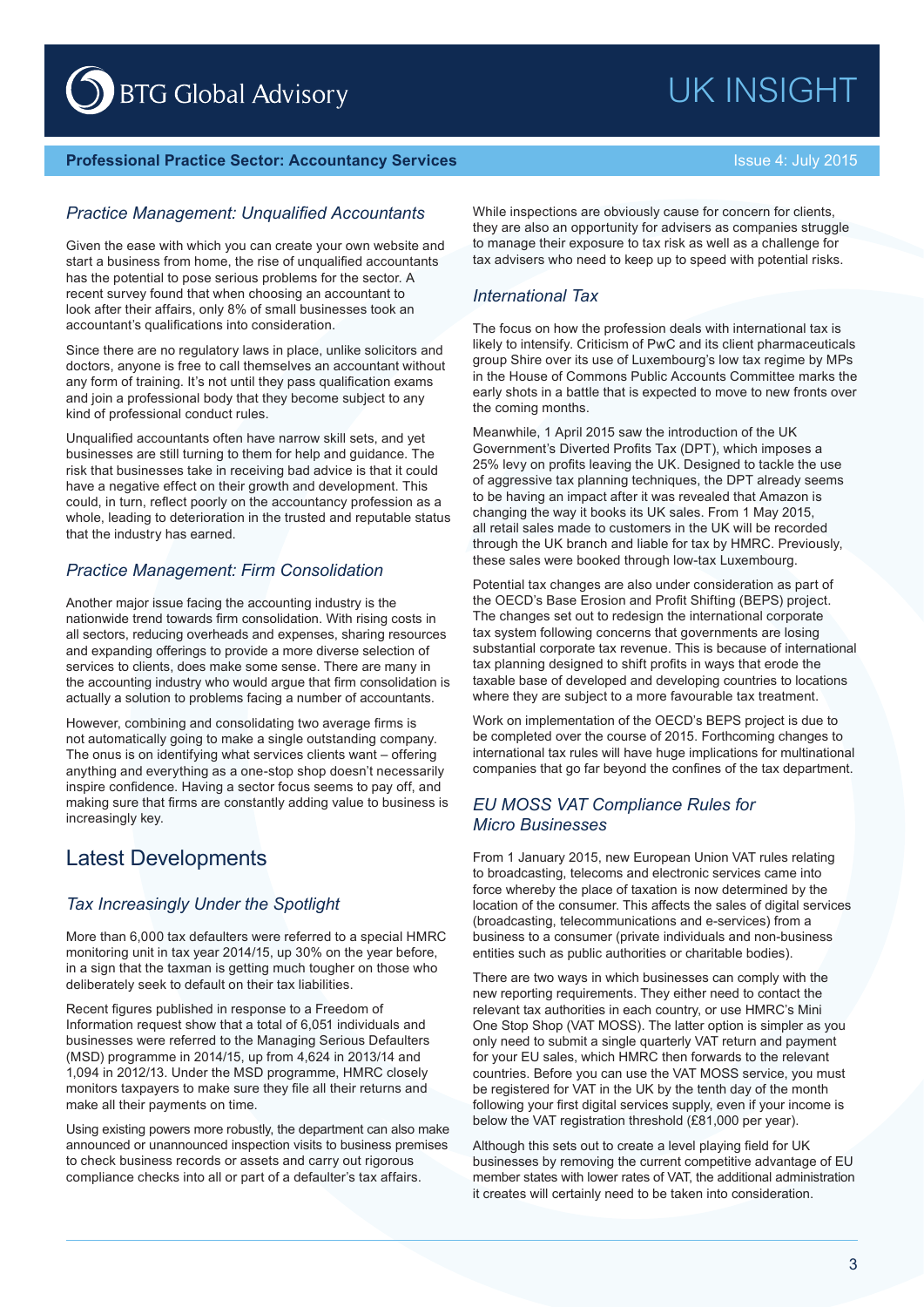# **BTG Global Advisory**

# UK INSIGHT

### **Professional Practice Sector: Accountancy Services and Community Control of Issue 4: July 2015**

### *Practice Management: Unqualified Accountants*

Given the ease with which you can create your own website and start a business from home, the rise of unqualified accountants has the potential to pose serious problems for the sector. A recent survey found that when choosing an accountant to look after their affairs, only 8% of small businesses took an accountant's qualifications into consideration.

Since there are no regulatory laws in place, unlike solicitors and doctors, anyone is free to call themselves an accountant without any form of training. It's not until they pass qualification exams and join a professional body that they become subject to any kind of professional conduct rules.

Unqualified accountants often have narrow skill sets, and yet businesses are still turning to them for help and guidance. The risk that businesses take in receiving bad advice is that it could have a negative effect on their growth and development. This could, in turn, reflect poorly on the accountancy profession as a whole, leading to deterioration in the trusted and reputable status that the industry has earned.

### *Practice Management: Firm Consolidation*

Another major issue facing the accounting industry is the nationwide trend towards firm consolidation. With rising costs in all sectors, reducing overheads and expenses, sharing resources and expanding offerings to provide a more diverse selection of services to clients, does make some sense. There are many in the accounting industry who would argue that firm consolidation is actually a solution to problems facing a number of accountants.

However, combining and consolidating two average firms is not automatically going to make a single outstanding company. The onus is on identifying what services clients want – offering anything and everything as a one-stop shop doesn't necessarily inspire confidence. Having a sector focus seems to pay off, and making sure that firms are constantly adding value to business is increasingly key.

### Latest Developments

### *Tax Increasingly Under the Spotlight*

More than 6,000 tax defaulters were referred to a special HMRC monitoring unit in tax year 2014/15, up 30% on the year before, in a sign that the taxman is getting much tougher on those who deliberately seek to default on their tax liabilities.

Recent figures published in response to a Freedom of Information request show that a total of 6,051 individuals and businesses were referred to the Managing Serious Defaulters (MSD) programme in 2014/15, up from 4,624 in 2013/14 and 1,094 in 2012/13. Under the MSD programme, HMRC closely monitors taxpayers to make sure they file all their returns and make all their payments on time.

Using existing powers more robustly, the department can also make announced or unannounced inspection visits to business premises to check business records or assets and carry out rigorous compliance checks into all or part of a defaulter's tax affairs.

While inspections are obviously cause for concern for clients, they are also an opportunity for advisers as companies struggle to manage their exposure to tax risk as well as a challenge for tax advisers who need to keep up to speed with potential risks.

### *International Tax*

The focus on how the profession deals with international tax is likely to intensify. Criticism of PwC and its client pharmaceuticals group Shire over its use of Luxembourg's low tax regime by MPs in the House of Commons Public Accounts Committee marks the early shots in a battle that is expected to move to new fronts over the coming months.

Meanwhile, 1 April 2015 saw the introduction of the UK Government's Diverted Profits Tax (DPT), which imposes a 25% levy on profits leaving the UK. Designed to tackle the use of aggressive tax planning techniques, the DPT already seems to be having an impact after it was revealed that Amazon is changing the way it books its UK sales. From 1 May 2015, all retail sales made to customers in the UK will be recorded through the UK branch and liable for tax by HMRC. Previously, these sales were booked through low-tax Luxembourg.

Potential tax changes are also under consideration as part of the OECD's Base Erosion and Profit Shifting (BEPS) project. The changes set out to redesign the international corporate tax system following concerns that governments are losing substantial corporate tax revenue. This is because of international tax planning designed to shift profits in ways that erode the taxable base of developed and developing countries to locations where they are subject to a more favourable tax treatment.

Work on implementation of the OECD's BEPS project is due to be completed over the course of 2015. Forthcoming changes to international tax rules will have huge implications for multinational companies that go far beyond the confines of the tax department.

### *EU MOSS VAT Compliance Rules for Micro Businesses*

From 1 January 2015, new European Union VAT rules relating to broadcasting, telecoms and electronic services came into force whereby the place of taxation is now determined by the location of the consumer. This affects the sales of digital services (broadcasting, telecommunications and e-services) from a business to a consumer (private individuals and non-business entities such as public authorities or charitable bodies).

There are two ways in which businesses can comply with the new reporting requirements. They either need to contact the relevant tax authorities in each country, or use HMRC's Mini One Stop Shop (VAT MOSS). The latter option is simpler as you only need to submit a single quarterly VAT return and payment for your EU sales, which HMRC then forwards to the relevant countries. Before you can use the VAT MOSS service, you must be registered for VAT in the UK by the tenth day of the month following your first digital services supply, even if your income is below the VAT registration threshold (£81,000 per year).

Although this sets out to create a level playing field for UK businesses by removing the current competitive advantage of EU member states with lower rates of VAT, the additional administration it creates will certainly need to be taken into consideration.